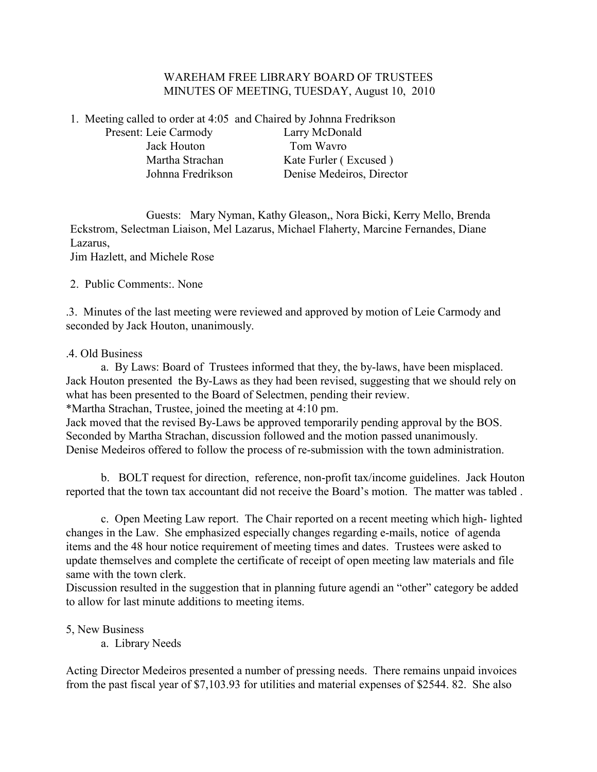## WAREHAM FREE LIBRARY BOARD OF TRUSTEES MINUTES OF MEETING, TUESDAY, August 10, 2010

1. Meeting called to order at 4:05 and Chaired by Johnna Fredrikson

Present: Leie Carmody Larry McDonald Jack Houton Tom Wavro

Martha Strachan Kate Furler (Excused) Johnna Fredrikson Denise Medeiros, Director

 Guests: Mary Nyman, Kathy Gleason,, Nora Bicki, Kerry Mello, Brenda Eckstrom, Selectman Liaison, Mel Lazarus, Michael Flaherty, Marcine Fernandes, Diane Lazarus, Jim Hazlett, and Michele Rose

2. Public Comments:. None

.3. Minutes of the last meeting were reviewed and approved by motion of Leie Carmody and seconded by Jack Houton, unanimously.

# .4. Old Business

 a. By Laws: Board of Trustees informed that they, the by-laws, have been misplaced. Jack Houton presented the By-Laws as they had been revised, suggesting that we should rely on what has been presented to the Board of Selectmen, pending their review.

\*Martha Strachan, Trustee, joined the meeting at 4:10 pm.

Jack moved that the revised By-Laws be approved temporarily pending approval by the BOS. Seconded by Martha Strachan, discussion followed and the motion passed unanimously. Denise Medeiros offered to follow the process of re-submission with the town administration.

 b. BOLT request for direction, reference, non-profit tax/income guidelines. Jack Houton reported that the town tax accountant did not receive the Board's motion. The matter was tabled .

 c. Open Meeting Law report. The Chair reported on a recent meeting which high- lighted changes in the Law. She emphasized especially changes regarding e-mails, notice of agenda items and the 48 hour notice requirement of meeting times and dates. Trustees were asked to update themselves and complete the certificate of receipt of open meeting law materials and file same with the town clerk.

Discussion resulted in the suggestion that in planning future agendi an "other" category be added to allow for last minute additions to meeting items.

5, New Business

a. Library Needs

Acting Director Medeiros presented a number of pressing needs. There remains unpaid invoices from the past fiscal year of \$7,103.93 for utilities and material expenses of \$2544. 82. She also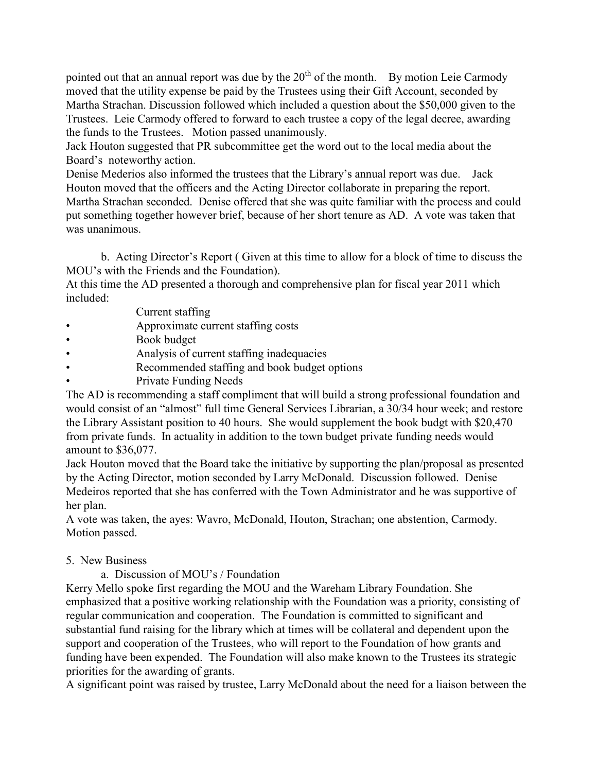pointed out that an annual report was due by the  $20<sup>th</sup>$  of the month. By motion Leie Carmody moved that the utility expense be paid by the Trustees using their Gift Account, seconded by Martha Strachan. Discussion followed which included a question about the \$50,000 given to the Trustees. Leie Carmody offered to forward to each trustee a copy of the legal decree, awarding the funds to the Trustees. Motion passed unanimously.

Jack Houton suggested that PR subcommittee get the word out to the local media about the Board's noteworthy action.

Denise Mederios also informed the trustees that the Library's annual report was due. Jack Houton moved that the officers and the Acting Director collaborate in preparing the report. Martha Strachan seconded. Denise offered that she was quite familiar with the process and could put something together however brief, because of her short tenure as AD. A vote was taken that was unanimous.

 b. Acting Director's Report ( Given at this time to allow for a block of time to discuss the MOU's with the Friends and the Foundation).

At this time the AD presented a thorough and comprehensive plan for fiscal year 2011 which included:

- Current staffing
- Approximate current staffing costs
- Book budget
- Analysis of current staffing inadequacies
- Recommended staffing and book budget options
- Private Funding Needs

The AD is recommending a staff compliment that will build a strong professional foundation and would consist of an "almost" full time General Services Librarian, a 30/34 hour week; and restore the Library Assistant position to 40 hours. She would supplement the book budgt with \$20,470 from private funds. In actuality in addition to the town budget private funding needs would amount to \$36,077.

Jack Houton moved that the Board take the initiative by supporting the plan/proposal as presented by the Acting Director, motion seconded by Larry McDonald. Discussion followed. Denise Medeiros reported that she has conferred with the Town Administrator and he was supportive of her plan.

A vote was taken, the ayes: Wavro, McDonald, Houton, Strachan; one abstention, Carmody. Motion passed.

# 5. New Business

a. Discussion of MOU's / Foundation

Kerry Mello spoke first regarding the MOU and the Wareham Library Foundation. She emphasized that a positive working relationship with the Foundation was a priority, consisting of regular communication and cooperation. The Foundation is committed to significant and substantial fund raising for the library which at times will be collateral and dependent upon the support and cooperation of the Trustees, who will report to the Foundation of how grants and funding have been expended. The Foundation will also make known to the Trustees its strategic priorities for the awarding of grants.

A significant point was raised by trustee, Larry McDonald about the need for a liaison between the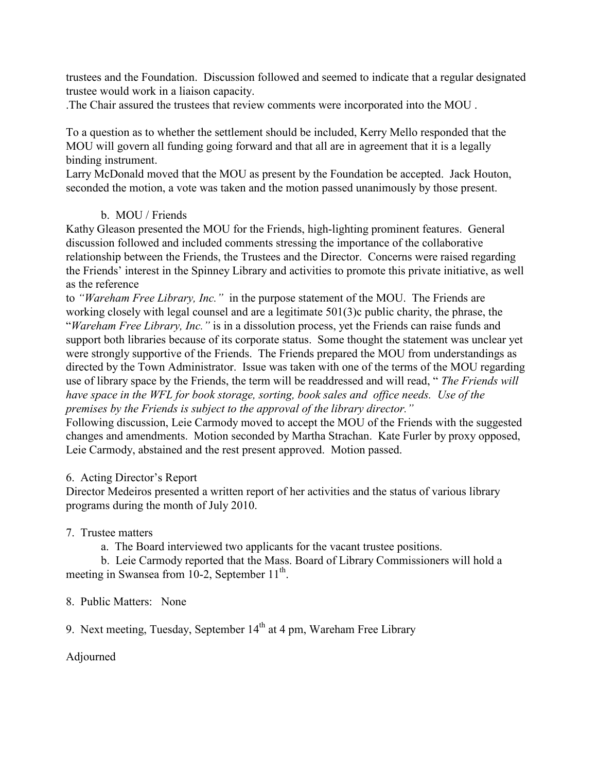trustees and the Foundation. Discussion followed and seemed to indicate that a regular designated trustee would work in a liaison capacity.

.The Chair assured the trustees that review comments were incorporated into the MOU .

To a question as to whether the settlement should be included, Kerry Mello responded that the MOU will govern all funding going forward and that all are in agreement that it is a legally binding instrument.

Larry McDonald moved that the MOU as present by the Foundation be accepted. Jack Houton, seconded the motion, a vote was taken and the motion passed unanimously by those present.

# b. MOU / Friends

Kathy Gleason presented the MOU for the Friends, high-lighting prominent features. General discussion followed and included comments stressing the importance of the collaborative relationship between the Friends, the Trustees and the Director. Concerns were raised regarding the Friends' interest in the Spinney Library and activities to promote this private initiative, as well as the reference

to *"Wareham Free Library, Inc."* in the purpose statement of the MOU. The Friends are working closely with legal counsel and are a legitimate 501(3)c public charity, the phrase, the "*Wareham Free Library, Inc."* is in a dissolution process, yet the Friends can raise funds and support both libraries because of its corporate status. Some thought the statement was unclear yet were strongly supportive of the Friends. The Friends prepared the MOU from understandings as directed by the Town Administrator. Issue was taken with one of the terms of the MOU regarding use of library space by the Friends, the term will be readdressed and will read, " *The Friends will have space in the WFL for book storage, sorting, book sales and office needs. Use of the premises by the Friends is subject to the approval of the library director."* 

Following discussion, Leie Carmody moved to accept the MOU of the Friends with the suggested changes and amendments. Motion seconded by Martha Strachan. Kate Furler by proxy opposed, Leie Carmody, abstained and the rest present approved. Motion passed.

# 6. Acting Director's Report

Director Medeiros presented a written report of her activities and the status of various library programs during the month of July 2010.

# 7. Trustee matters

a. The Board interviewed two applicants for the vacant trustee positions.

 b. Leie Carmody reported that the Mass. Board of Library Commissioners will hold a meeting in Swansea from 10-2, September 11<sup>th</sup>.

8. Public Matters: None

9. Next meeting, Tuesday, September  $14<sup>th</sup>$  at 4 pm, Wareham Free Library

Adjourned